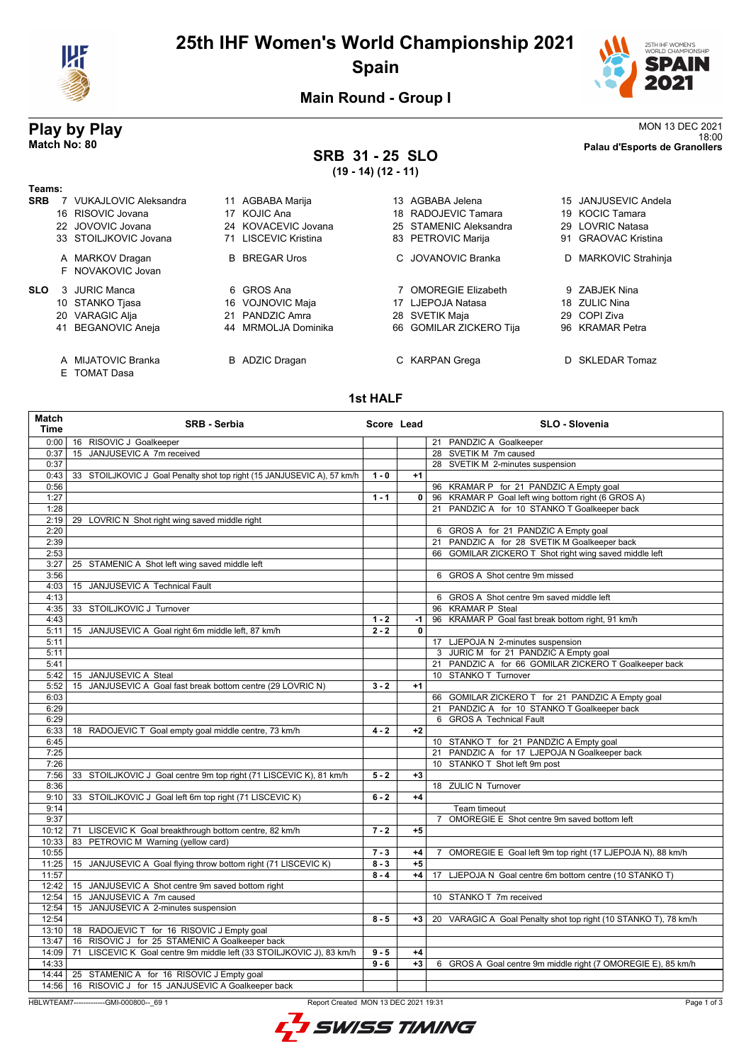

# **25th IHF Women's World Championship 2021 Spain**



**Main Round - Group I**

## **SRB 31 - 25 SLO (19 - 14) (12 - 11)**

**Play by Play**<br>MON 13 DEC 2021<br>Palau d'Esports de Granollers<br>Palau d'Esports de Granollers 18:00 **Match No: 80 Palau d'Esports de Granollers**

| Teams:     |    |                                  |    |                       |    |                         |    |                         |
|------------|----|----------------------------------|----|-----------------------|----|-------------------------|----|-------------------------|
| <b>SRB</b> |    | <b>VUKAJLOVIC Aleksandra</b>     |    | 11 AGBABA Marija      |    | 13 AGBABA Jelena        |    | 15 JANJUSEVIC Andela    |
|            |    | 16 RISOVIC Jovana                |    | 17 KOJIC Ana          |    | 18 RADOJEVIC Tamara     |    | 19 KOCIC Tamara         |
|            |    | 22 JOVOVIC Jovana                |    | 24 KOVACEVIC Jovana   |    | 25 STAMENIC Aleksandra  |    | 29 LOVRIC Natasa        |
|            |    | 33 STOILJKOVIC Jovana            |    | 71 LISCEVIC Kristina  |    | 83 PETROVIC Marija      | 91 | <b>GRAOVAC Kristina</b> |
|            |    | A MARKOV Dragan                  |    | <b>B</b> BREGAR Uros  |    | C. JOVANOVIC Branka     |    | D MARKOVIC Strahinja    |
|            |    | F NOVAKOVIC Jovan                |    |                       |    |                         |    |                         |
| <b>SLO</b> | 3  | JURIC Manca                      |    | 6 GROS Ana            |    | 7 OMOREGIE Elizabeth    |    | 9 ZABJEK Nina           |
|            |    | 10 STANKO Tjasa                  |    | 16 VOJNOVIC Maja      | 17 | LJEPOJA Natasa          |    | 18 ZULIC Nina           |
|            |    | 20 VARAGIC Alja                  | 21 | <b>PANDZIC Amra</b>   |    | 28 SVETIK Maja          | 29 | COPI Ziva               |
|            | 41 | <b>BEGANOVIC Aneja</b>           |    | 44 MRMOLJA Dominika   |    | 66 GOMILAR ZICKERO Tija |    | 96 KRAMAR Petra         |
|            | A  | MIJATOVIC Branka<br>E TOMAT Dasa |    | <b>B</b> ADZIC Dragan |    | C KARPAN Grega          |    | D SKLEDAR Tomaz         |

### **1st HALF**

| Match<br><b>Time</b> | <b>SRB - Serbia</b>                                                              | Score Lead |              | <b>SLO - Slovenia</b>                                                       |
|----------------------|----------------------------------------------------------------------------------|------------|--------------|-----------------------------------------------------------------------------|
| 0:00                 | 16 RISOVIC J Goalkeeper                                                          |            |              | 21 PANDZIC A Goalkeeper                                                     |
| 0:37                 | 15 JANJUSEVIC A 7m received                                                      |            |              | 28 SVETIK M 7m caused                                                       |
| 0:37                 |                                                                                  |            |              | 28 SVETIK M 2-minutes suspension                                            |
| 0:43                 | 33 STOILJKOVIC J Goal Penalty shot top right (15 JANJUSEVIC A), 57 km/h          | $1 - 0$    | $+1$         |                                                                             |
| 0:56                 |                                                                                  |            |              | 96 KRAMAR P for 21 PANDZIC A Empty goal                                     |
| 1:27                 |                                                                                  | $1 - 1$    | 0            | 96 KRAMAR P Goal left wing bottom right (6 GROS A)                          |
| 1:28                 |                                                                                  |            |              | 21 PANDZIC A for 10 STANKO T Goalkeeper back                                |
| 2:19                 | 29 LOVRIC N Shot right wing saved middle right                                   |            |              |                                                                             |
| 2:20                 |                                                                                  |            |              | 6 GROS A for 21 PANDZIC A Empty goal                                        |
| 2:39                 |                                                                                  |            |              | 21 PANDZIC A for 28 SVETIK M Goalkeeper back                                |
| 2:53                 |                                                                                  |            |              | 66 GOMILAR ZICKERO T Shot right wing saved middle left                      |
| 3:27                 | 25 STAMENIC A Shot left wing saved middle left                                   |            |              |                                                                             |
| 3:56                 |                                                                                  |            |              | 6 GROS A Shot centre 9m missed                                              |
| 4:03                 | 15 JANJUSEVIC A Technical Fault                                                  |            |              |                                                                             |
| 4:13                 |                                                                                  |            |              | 6 GROS A Shot centre 9m saved middle left                                   |
| 4:35                 | 33 STOILJKOVIC J Turnover                                                        |            |              | 96 KRAMAR P Steal                                                           |
| 4:43                 |                                                                                  | $1 - 2$    | -1           | 96 KRAMAR P Goal fast break bottom right, 91 km/h                           |
| 5:11                 | 15 JANJUSEVIC A Goal right 6m middle left, 87 km/h                               | $2 - 2$    | $\mathbf{0}$ |                                                                             |
| 5:11                 |                                                                                  |            |              | 17 LJEPOJA N 2-minutes suspension                                           |
| 5:11                 |                                                                                  |            |              | 3 JURIC M for 21 PANDZIC A Empty goal                                       |
| 5:41                 |                                                                                  |            |              | 21 PANDZIC A for 66 GOMILAR ZICKERO T Goalkeeper back                       |
| 5:42                 | 15 JANJUSEVIC A Steal                                                            |            |              | 10 STANKO T Turnover                                                        |
| 5:52                 | 15 JANJUSEVIC A Goal fast break bottom centre (29 LOVRIC N)                      | $3 - 2$    | $+1$         |                                                                             |
| 6:03                 |                                                                                  |            |              | 66 GOMILAR ZICKERO T for 21 PANDZIC A Empty goal                            |
| 6:29                 |                                                                                  |            |              | 21 PANDZIC A for 10 STANKO T Goalkeeper back                                |
| 6:29                 |                                                                                  |            |              | 6 GROS A Technical Fault                                                    |
| 6:33                 | 18 RADOJEVIC T Goal empty goal middle centre, 73 km/h                            | $4 - 2$    | $+2$         |                                                                             |
| 6:45                 |                                                                                  |            |              |                                                                             |
|                      |                                                                                  |            |              | 10 STANKO T for 21 PANDZIC A Empty goal                                     |
| 7:25                 |                                                                                  |            |              | 21 PANDZIC A for 17 LJEPOJA N Goalkeeper back                               |
| 7:26                 |                                                                                  |            |              | 10 STANKO T Shot left 9m post                                               |
| 7:56                 | 33 STOILJKOVIC J Goal centre 9m top right (71 LISCEVIC K), 81 km/h               | $5 - 2$    | $+3$         |                                                                             |
| 8:36                 |                                                                                  |            |              | 18 ZULIC N Turnover                                                         |
| 9:10                 | 33 STOILJKOVIC J Goal left 6m top right (71 LISCEVIC K)                          | $6 - 2$    | $+4$         |                                                                             |
| 9:14                 |                                                                                  |            |              | Team timeout                                                                |
| 9:37                 |                                                                                  |            |              | $\overline{7}$<br>OMOREGIE E Shot centre 9m saved bottom left               |
| 10:12                | 71 LISCEVIC K Goal breakthrough bottom centre, 82 km/h                           | $7 - 2$    | $+5$         |                                                                             |
| 10:33                | 83 PETROVIC M Warning (yellow card)                                              |            |              |                                                                             |
| 10:55                |                                                                                  | $7 - 3$    | $+4$         | OMOREGIE E Goal left 9m top right (17 LJEPOJA N), 88 km/h<br>$\overline{7}$ |
| 11:25                | 15 JANJUSEVIC A Goal flying throw bottom right (71 LISCEVIC K)                   | $8 - 3$    | $+5$         |                                                                             |
| 11:57                |                                                                                  | $8 - 4$    | $+4$         | 17 LJEPOJA N Goal centre 6m bottom centre (10 STANKO T)                     |
| 12:42                | 15 JANJUSEVIC A Shot centre 9m saved bottom right                                |            |              |                                                                             |
| 12:54                | 15 JANJUSEVIC A 7m caused                                                        |            |              | 10 STANKO T 7m received                                                     |
| 12:54                | 15 JANJUSEVIC A 2-minutes suspension                                             |            |              |                                                                             |
| 12:54                |                                                                                  | $8 - 5$    | $+3$         | 20 VARAGIC A Goal Penalty shot top right (10 STANKO T), 78 km/h             |
| 13:10                | 18 RADOJEVIC T for 16 RISOVIC J Empty goal                                       |            |              |                                                                             |
| 13:47                | 16 RISOVIC J for 25 STAMENIC A Goalkeeper back                                   |            |              |                                                                             |
| 14:09                | LISCEVIC K Goal centre 9m middle left (33 STOILJKOVIC J), 83 km/h<br>71          | $9 - 5$    | $+4$         |                                                                             |
| 14:33                |                                                                                  | $9 - 6$    | $+3$         | 6 GROS A Goal centre 9m middle right (7 OMOREGIE E), 85 km/h                |
| 14:44                | 25 STAMENIC A for 16 RISOVIC J Empty goal                                        |            |              |                                                                             |
| 14:56                | 16 RISOVIC J for 15 JANJUSEVIC A Goalkeeper back                                 |            |              |                                                                             |
|                      | HBLWTEAM7--------------GMI-000800-- 69 1<br>Report Created MON 13 DEC 2021 19:31 |            |              | Page 1 of 3                                                                 |
|                      |                                                                                  |            |              |                                                                             |

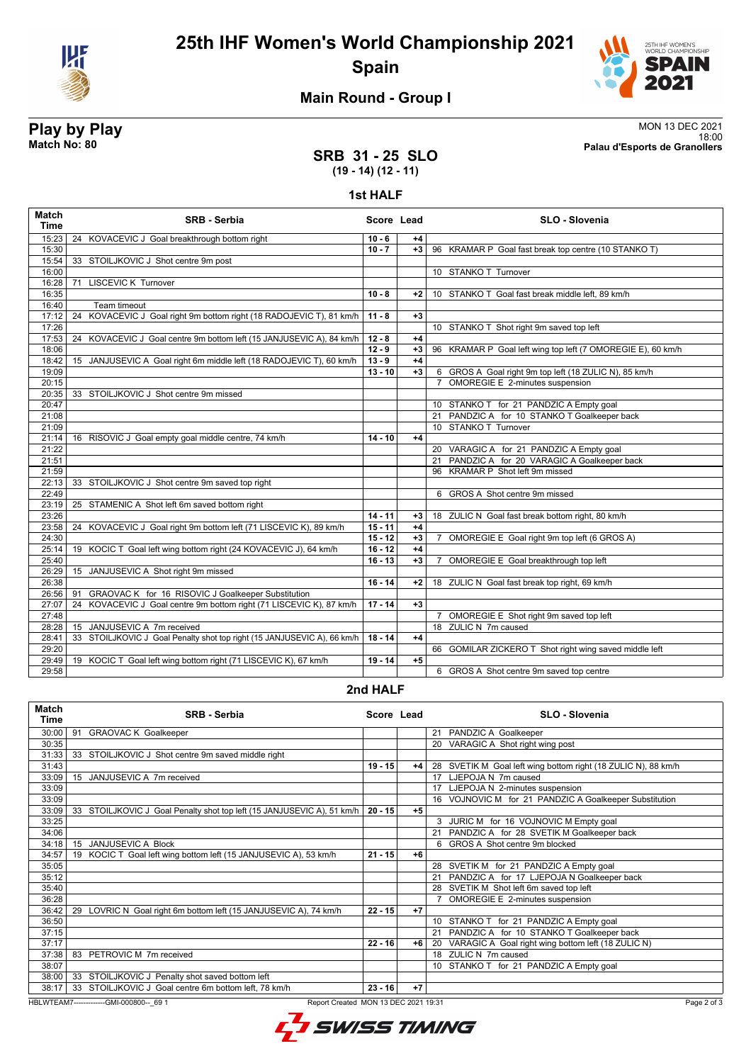



## **Main Round - Group I**

**Play by Play**<br>MON 13 DEC 2021<br>Palau d'Esports de Granollers<br>Palau d'Esports de Granollers 18:00 **Match No: 80 Palau d'Esports de Granollers**

### **SRB 31 - 25 SLO (19 - 14) (12 - 11)**

#### **1st HALF**

| <b>Match</b><br><b>Time</b> | <b>SRB - Serbia</b>                                                     | Score Lead      |      | <b>SLO - Slovenia</b>                                             |
|-----------------------------|-------------------------------------------------------------------------|-----------------|------|-------------------------------------------------------------------|
| 15:23                       | 24 KOVACEVIC J Goal breakthrough bottom right                           | $10 - 6$        | $+4$ |                                                                   |
| 15:30                       |                                                                         | $10 - 7$        | $+3$ | 96 KRAMAR P Goal fast break top centre (10 STANKO T)              |
| 15:54                       | 33 STOILJKOVIC J Shot centre 9m post                                    |                 |      |                                                                   |
| 16:00                       |                                                                         |                 |      | 10 STANKO T Turnover                                              |
| 16:28                       | <b>LISCEVIC K Turnover</b><br>71                                        |                 |      |                                                                   |
| 16:35                       |                                                                         | $10 - 8$        | +2   | 10 STANKO T Goal fast break middle left, 89 km/h                  |
| 16:40                       | Team timeout                                                            |                 |      |                                                                   |
| 17:12                       | KOVACEVIC J Goal right 9m bottom right (18 RADOJEVIC T), 81 km/h<br>24  | $11 - 8$        | $+3$ |                                                                   |
| 17:26                       |                                                                         |                 |      | 10 STANKO T Shot right 9m saved top left                          |
| 17:53                       | 24 KOVACEVIC J Goal centre 9m bottom left (15 JANJUSEVIC A), 84 km/h    | $12 - 8$        | $+4$ |                                                                   |
| 18:06                       |                                                                         | $12 - 9$        | $+3$ | 96 KRAMAR P Goal left wing top left (7 OMOREGIE E), 60 km/h       |
| 18:42                       | 15 JANJUSEVIC A Goal right 6m middle left (18 RADOJEVIC T), 60 km/h     | $13 - 9$        | $+4$ |                                                                   |
| 19:09                       |                                                                         | $13 - 10$       | $+3$ | 6 GROS A Goal right 9m top left (18 ZULIC N), 85 km/h             |
| 20:15                       |                                                                         |                 |      | OMOREGIE E 2-minutes suspension<br>$\overline{7}$                 |
| 20:35                       | 33 STOILJKOVIC J Shot centre 9m missed                                  |                 |      |                                                                   |
| 20:47                       |                                                                         |                 |      | 10 STANKO T for 21 PANDZIC A Empty goal                           |
| 21:08                       |                                                                         |                 |      | 21 PANDZIC A for 10 STANKO T Goalkeeper back                      |
| 21:09                       |                                                                         |                 |      | 10 STANKO T Turnover                                              |
| 21:14                       | 16 RISOVIC J Goal empty goal middle centre, 74 km/h                     | $14 - 10$       | $+4$ |                                                                   |
| 21:22                       |                                                                         |                 |      | 20 VARAGIC A for 21 PANDZIC A Empty goal                          |
| 21:51                       |                                                                         |                 |      | 21 PANDZIC A for 20 VARAGIC A Goalkeeper back                     |
| 21:59                       |                                                                         |                 |      | 96 KRAMAR P Shot left 9m missed                                   |
| 22:13                       | 33 STOILJKOVIC J Shot centre 9m saved top right                         |                 |      |                                                                   |
| 22:49                       |                                                                         |                 |      | 6 GROS A Shot centre 9m missed                                    |
| 23:19                       | 25 STAMENIC A Shot left 6m saved bottom right                           |                 |      |                                                                   |
| 23:26                       |                                                                         | $14 - 11$       | $+3$ | 18 ZULIC N Goal fast break bottom right, 80 km/h                  |
| 23:58                       | 24 KOVACEVIC J Goal right 9m bottom left (71 LISCEVIC K), 89 km/h       | $15 - 11$       | $+4$ |                                                                   |
| 24:30                       |                                                                         | $15 - 12$       | $+3$ | OMOREGIE E Goal right 9m top left (6 GROS A)<br>7                 |
| 25:14                       | 19 KOCIC T Goal left wing bottom right (24 KOVACEVIC J), 64 km/h        | $16 - 12$       | $+4$ |                                                                   |
| 25:40                       |                                                                         | $16 - 13$       | $+3$ | OMOREGIE E Goal breakthrough top left<br>7                        |
| 26:29<br>26:38              | 15 JANJUSEVIC A Shot right 9m missed                                    | $16 - 14$       |      | 18 ZULIC N Goal fast break top right, 69 km/h                     |
|                             | 91 GRAOVAC K for 16 RISOVIC J Goalkeeper Substitution                   |                 | $+2$ |                                                                   |
| 26:56<br>27:07              | 24 KOVACEVIC J Goal centre 9m bottom right (71 LISCEVIC K), 87 km/h     | $17 - 14$       | $+3$ |                                                                   |
|                             |                                                                         |                 |      |                                                                   |
| 27:48<br>28:28              | 15 JANJUSEVIC A 7m received                                             |                 |      | 7 OMOREGIE E Shot right 9m saved top left<br>18 ZULIC N 7m caused |
|                             |                                                                         |                 | $+4$ |                                                                   |
| 28:41<br>29:20              | 33 STOILJKOVIC J Goal Penalty shot top right (15 JANJUSEVIC A), 66 km/h | $18 - 14$       |      | 66 GOMILAR ZICKERO T Shot right wing saved middle left            |
| 29:49                       | 19 KOCIC T Goal left wing bottom right (71 LISCEVIC K), 67 km/h         | $19 - 14$       | $+5$ |                                                                   |
| 29:58                       |                                                                         |                 |      | 6 GROS A Shot centre 9m saved top centre                          |
|                             |                                                                         | $\sim$ $\cdots$ |      |                                                                   |

#### **2nd HALF**

| <b>Match</b><br>Time | <b>SRB - Serbia</b>                                                              | Score Lead |      | <b>SLO - Slovenia</b>                                         |
|----------------------|----------------------------------------------------------------------------------|------------|------|---------------------------------------------------------------|
| 30:00                | 91<br><b>GRAOVAC K Goalkeeper</b>                                                |            |      | 21 PANDZIC A Goalkeeper                                       |
| 30:35                |                                                                                  |            |      | VARAGIC A Shot right wing post<br>20                          |
| 31:33                | 33 STOILJKOVIC J Shot centre 9m saved middle right                               |            |      |                                                               |
| 31:43                |                                                                                  | $19 - 15$  | $+4$ | 28 SVETIK M Goal left wing bottom right (18 ZULIC N), 88 km/h |
| 33:09                | JANJUSEVIC A 7m received<br>15                                                   |            |      | 17 LJEPOJA N 7m caused                                        |
| 33:09                |                                                                                  |            |      | LJEPOJA N 2-minutes suspension                                |
| 33:09                |                                                                                  |            |      | 16 VOJNOVIC M for 21 PANDZIC A Goalkeeper Substitution        |
| 33:09                | 33 STOILJKOVIC J Goal Penalty shot top left (15 JANJUSEVIC A), 51 km/h           | $20 - 15$  | $+5$ |                                                               |
| 33:25                |                                                                                  |            |      | JURIC M for 16 VOJNOVIC M Empty goal<br>3                     |
| 34:06                |                                                                                  |            |      | 21 PANDZIC A for 28 SVETIK M Goalkeeper back                  |
| 34:18                | JANJUSEVIC A Block<br>15                                                         |            |      | 6 GROS A Shot centre 9m blocked                               |
| 34:57                | KOCIC T Goal left wing bottom left (15 JANJUSEVIC A), 53 km/h<br>19              | $21 - 15$  | $+6$ |                                                               |
| 35:05                |                                                                                  |            |      | 28 SVETIK M for 21 PANDZIC A Empty goal                       |
| 35:12                |                                                                                  |            |      | 21 PANDZIC A for 17 LJEPOJA N Goalkeeper back                 |
| 35:40                |                                                                                  |            |      | 28 SVETIK M Shot left 6m saved top left                       |
| 36:28                |                                                                                  |            |      | OMOREGIE E 2-minutes suspension                               |
| 36:42                | LOVRIC N Goal right 6m bottom left (15 JANJUSEVIC A), 74 km/h<br>29              | $22 - 15$  | $+7$ |                                                               |
| 36:50                |                                                                                  |            |      | 10 STANKO T for 21 PANDZIC A Empty goal                       |
| 37:15                |                                                                                  |            |      | 21 PANDZIC A for 10 STANKO T Goalkeeper back                  |
| 37:17                |                                                                                  | $22 - 16$  | $+6$ | 20 VARAGIC A Goal right wing bottom left (18 ZULIC N)         |
| 37:38                | PETROVIC M 7m received<br>83                                                     |            |      | 18 ZULIC N 7m caused                                          |
| 38:07                |                                                                                  |            |      | STANKO T for 21 PANDZIC A Empty goal<br>10 <sup>1</sup>       |
| 38:00                | 33 STOILJKOVIC J Penalty shot saved bottom left                                  |            |      |                                                               |
| 38:17                | 33 STOILJKOVIC J Goal centre 6m bottom left, 78 km/h                             | $23 - 16$  | $+7$ |                                                               |
|                      | HBLWTEAM7--------------GMI-000800-- 69 1<br>Report Created MON 13 DEC 2021 19:31 |            |      | Page 2 of 3                                                   |